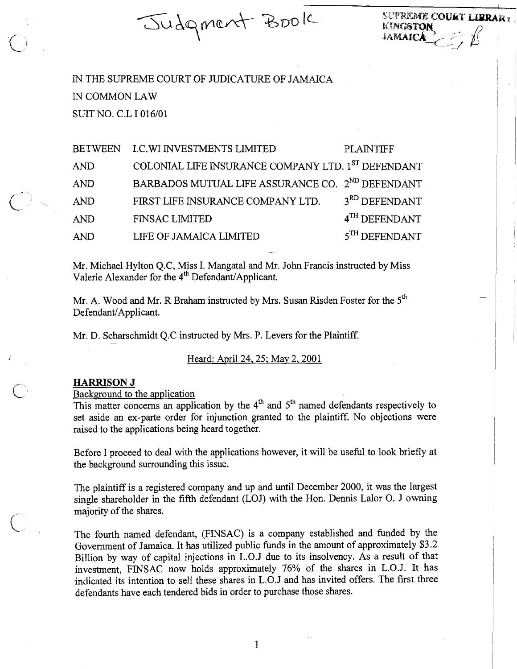Judgment Book

SUPREME COURT LIBRARY. KINGSTON **JAMAICA** 

IN THE SUPREME COURT OF JUDICATURE OF JAMAICA IN COMMON LAW SUIT NO. C.L I 016/01

| <b>BETWEEN</b> | <b>I.C.WI INVESTMENTS LIMITED</b>                            | PLAINTIFF                 |
|----------------|--------------------------------------------------------------|---------------------------|
| AND            | COLONIAL LIFE INSURANCE COMPANY LTD. 1ST DEFENDANT           |                           |
| <b>AND</b>     | BARBADOS MUTUAL LIFE ASSURANCE CO. 2 <sup>ND</sup> DEFENDANT |                           |
| <b>AND</b>     | FIRST LIFE INSURANCE COMPANY LTD.                            | 3 <sup>RD</sup> DEFENDANT |
| <b>AND</b>     | <b>FINSAC LIMITED</b>                                        | 4 <sup>TH</sup> DEFENDANT |
| <b>AND</b>     | LIFE OF JAMAICA LIMITED                                      | $5TH$ DEFENDANT           |

Mr. Michael Hylton Q.C, Miss I. Mangatal and Mr. John Francis instructed by Miss Valerie Alexander for the 4<sup>th</sup> Defendant/Applicant.

Mr. A. Wood and Mr. R Braham instructed by Mrs. Susan Risden Foster for the  $5<sup>th</sup>$ Defendant/Applicant.

Mr. D. Scharschmidt Q.C instructed by Mrs. P. Levers for the Plaintiff.

Heard: April 24, 25; May 2, 2001

# HARRISON J

Background to the application

This matter concerns an application by the  $4<sup>th</sup>$  and  $5<sup>th</sup>$  named defendants respectively to set aside an ex-parte order for injunction granted to the plaintiff. No objections were raised to the applications being heard together.

Before I proceed to deal with the applications however, it will be useful to look briefly at the background surrounding this issue.

The plaintiff is a registered company and up and until December 2000, it was the largest single shareholder in the fifth defendant (LOJ) with the Hon. Dennis Lalor O. J owning majority of the shares.

The fourth named defendant, (FINSAC) is a company established and funded by the Government of Jamaica. It has utilized public funds in the amount of approximately \$3.2 Billion by way of capital injections in L.0.J due to its insolvency. As a result of that investment, FINSAC now holds approximately 76% of the shares in L.O.J. It has indicated its intention to sell these shares in L.0.J and has invited offers. The first three defendants have each tendered bids in order to purchase those shares.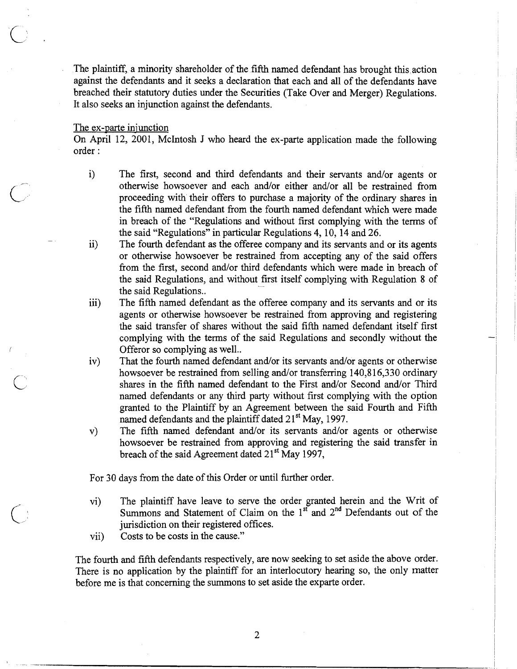The plaintiff, a minority shareholder of the fifth named defendant has brought this action against the defendants and it seeks a declaration that each and all of the defendants have breached their statutory duties under the Securities (Take Over and Merger) Regulations. It also seeks an injunction against the defendants.

### The ex-parte injunction

 $\overline{\phantom{a}}$ .

On April 12, 2001, McIntosh J who heard the ex-parte application made the following order :

- i) The first, second and third defendants and their servants and/or agents or otherwise howsoever and each and/or either and/or all be restrained from proceeding with their offers to purchase a majority of the ordinary shares in the fifth named defendant from the fourth named defendant which were made in breach of the "Regulations and without first complying with the terms of the said "Regulations" in particular Regulations 4, 10, 14 and 26.
- ii) The fourth defendant as the offeree company and its servants and or its agents or otherwise howsoever be restrained from accepting any of the said offers fiom the first, second and/or third defendants which were made in breach of the said Regulations, and without first itself complying with Regulation 8 of the said Regulations..
- iii) The fifth named defendant as the offeree company and its servants and or its agents or otherwise howsoever be restrained fiom approving and registering the said transfer of shares without the said fifth named defendant itself first complying with the terms of the said Regulations and secondly without the Offeror so complying as well..
- iv) That the fourth named defendant and/or its servants and/or agents or otherwise howsoever be restrained from selling and/or transferring 140,816,330 ordinary shares in the fifth named defendant to the First and/or Second and/or Third named defendants or any third party without first complying with the option granted to the Plaintiff by an Agreement between the said Fourth and Fifth named defendants and the plaintiff dated  $21<sup>st</sup>$  May, 1997.
- v) The fifth named defendant and/or its servants and/or agents or otherwise howsoever be restrained from approving and registering the said transfer in breach of the said Agreement dated 21<sup>st</sup> May 1997,

For 30 days from the date of this Order or until further order.

- vi) The plaintiff have leave to serve the order granted herein and the Writ of Summons and Statement of Claim on the  $1<sup>st</sup>$  and  $2<sup>nd</sup>$  Defendants out of the jurisdiction on their registered offices.
- vii) Costs to be costs in the cause."

The fourth and fifth defendants respectively, are now seeking to set aside the above order. There is no application by the plaintiff for an interlocutory hearing so, the only matter before me is that concerning the summons to set aside the exparte order.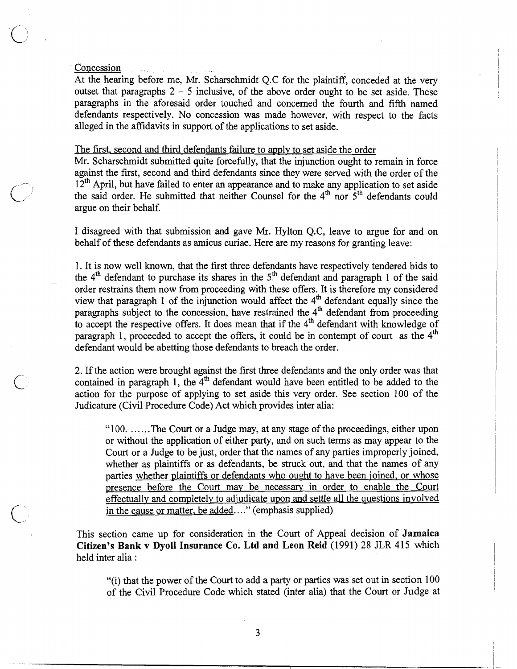## Concession

At the hearing before me, Mr. Scharschmidt Q.C for the plaintiff, conceded at the very outset that paragraphs  $2 - 5$  inclusive, of the above order ought to be set aside. These paragraphs in the aforesaid order touched and concerned the fourth and fifth named defendants respectively. No concession was made however, with respect to the facts alleged in the affidavits in support of the applications to set aside.

## The first, second and third defendants failure to apply to set aside the order

Mr. Scharschmidt submitted quite forcefully, that the injunction ought to remain in force against the first, second and third defendants since they were served with the order of the <sup>12<sup>th</sup></sup> April, but have failed to enter an appearance and to make any application to set aside<br>the said order. He submitted that neither Counsel for the 4<sup>th</sup> nor 5<sup>th</sup> defendants could argue on their behalf.

> I disagreed with that submission and gave Mr. Hylton Q.C, leave to argue for and on behalf of these defendants as amicus curiae. Here are my reasons for granting leave:

> 1. It is now well known, that the first three defendants have respectively tendered bids to the  $4<sup>th</sup>$  defendant to purchase its shares in the  $5<sup>th</sup>$  defendant and paragraph 1 of the said order restrains them now from proceeding with these offers. It is therefore my considered view that paragraph 1 of the injunction would affect the  $4<sup>m</sup>$  defendant equally since the paragraphs subject to the concession, have restrained the  $4<sup>th</sup>$  defendant from proceeding to accept the respective offers. It does mean that if the  $4<sup>th</sup>$  defendant with knowledge of paragraph 1, proceeded to accept the offers, it could be in contempt of court as the  $4<sup>th</sup>$ defendant would be abetting those defendants to breach the order.

> 2. If the action were brought against the first three defendants and the only order was that contained in paragraph 1, the  $4<sup>th</sup>$  defendant would have been entitled to be added to the action for the purpose of applying to set aside this very order. See section 100 of the Judicature (Civil Procedure Code) Act which provides inter alia:

"100. ...... The Court or a Judge may, at any stage of the proceedings, either upon or without the application of either party, and on such terms as may appear to the Court or a Judge to be just, order that the names of any parties improperly joined, whether as plaintiffs or as defendants, be struck out, and that the names of any parties whether plaintiffs or defendants who ought to have been joined, or whose presence before the Court may be necessary in order to enable the Court effectually and completely to adjudicate upon and settle all the questions involved in the cause or matter, be added...." (emphasis supplied)

This section came up for consideration in the Court of Appeal decision of **Jamaica Citizen's Bank v Dyoll Insurance Co. Ltd and Leon Reid** (1991) **28 JLR** 415 which held inter alia :

"(i) that the power of the Court to add a party or parties was set out in section 100 of the Civil Procedure Code which stated (inter alia) that the Court or Judge at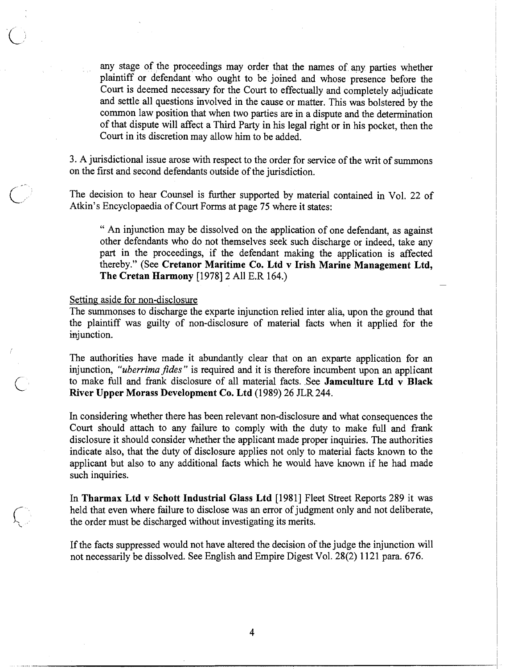any stage of the proceedings may order that the names of any parties whether plaintiff or defendant who ought to be joined and whose presence before the Court is deemed necessary for the Court to effectually and completely adjudicate and settle all questions involved in the cause or matter. This was bolstered by the common law position that when two parties are in a dispute and the determination of that dispute will affect a Third Party in his legal right or in his pocket, then the Court in its discretion may allow him to be added.

3. A jurisdictional issue arose with respect to the order for service of the writ of summons on the first and second defendants outside of the jurisdiction.

The decision to hear Counsel is further supported by material contained in Vol. 22 of Atkin's Encyclopaedia of Court Forms at page 75 where it states:

" An injunction may be dissolved on the application of one defendant, as against other defendants who do not themselves seek such discharge or indeed, take any part in the proceedings, if the defendant making the application is affected thereby." (See **Cretanor Maritime Co. Ltd v Irish Marine Management Ltd, The Cretan Harmony** [I9781 **2** All E.R 164.) -

Setting aside for non-disclosure

The summonses to discharge the exparte injunction relied inter alia, upon the ground that the plaintiff was guilty of non-disclosure of material facts when it applied for the injunction.

The authorities have made it abundantly clear that on an exparte application for an injunction, *"uberrima jdes* " is required and it is therefore incumbent upon an applicant C to make full and frank disclosure of all material facts. See **Jamculture Ltd v Black**  River Upper Morass Development Co. Ltd (1989) 26 JLR 244.

In considering whether there has been relevant non-disclosure and what consequences the Court should attach to any failure to comply with the duty to make full and frank disclosure it should consider whether the applicant made proper inquiries. The authorities indicate also, that the duty of disclosure applies not only to material facts known to the applicant but also to any additional facts which he would have known if he had made such inquiries.

In **Tharmax Ltd v Schott Industrial Glass Ltd** [1981] Fleet Street Reports 289 it was held that even where failure to disclose was an error of judgment only and not deliberate, the order must be discharged without investigating its merits.

If the facts suppressed would not have altered the decision of the judge the injunction will not necessarily be dissolved. See English and Empire Digest Vol. 28(2) 1 12 1 para. 676.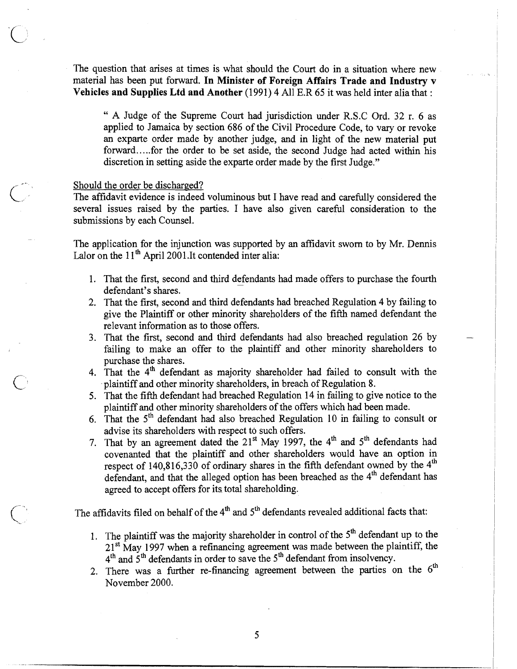The question that arises at times is what should the Court do in a situation where new material has been put forward. **In Minister of Foreign Affairs Trade and Industry v Vehicles and Supplies Ltd and Another** (1991) 4 All E.R 65 it was held inter alia that :

" A Judge of the Supreme Court had jurisdiction under R.S.C Ord. 32 r. 6 as applied to Jamaica by section 686 of the Civil Procedure Code, to vary or revoke an exparte order made by another judge, and in light of the new material put forward.. ... for the order to be set aside, the second Judge had acted within his discretion in setting aside the exparte order made by the first Judge."

#### Should the order be discharged?

-

The affidavit evidence is indeed voluminous but I have read and carefully considered the several issues raised by the parties. I have also given careful consideration to the submissions by each Counsel.

The application for the injunction was supported by an affidavit sworn to by Mr. Dennis Lalor on the  $11<sup>th</sup>$  April 2001.It contended inter alia:

- 1. That the first, second and third defendants had made offers to purchase the fourth defendant's shares.
- 2. That the first, second and third defendants had breached Regulation 4 by failing to give the Plaintiff or other minority shareholders of the fifth named defendant the relevant information **as** to those offers.
- 3. That the first, second and third defendants had also breached regulation 26 by failing to make an offer to the plaintiff and other minority shareholders to purchase the shares.
- 4. That the  $4<sup>th</sup>$  defendant as majority shareholder had failed to consult with the plaintiff and other minority shareholders, in breach of Regulation 8.
- 5. That the fifth defendant had breached Regulation 14 in failing to give notice to the plaintiff and other minority shareholders of the offers which had been made.
- 6. That the  $5<sup>th</sup>$  defendant had also breached Regulation 10 in failing to consult or advise its shareholders with respect to such offers.
- 7. That by an agreement dated the  $21^{st}$  May 1997, the 4<sup>th</sup> and 5<sup>th</sup> defendants had covenanted that the plaintiff and other shareholders would have an option in respect of  $140,816,330$  of ordinary shares in the fifth defendant owned by the  $4<sup>th</sup>$ defendant, and that the alleged option has been breached **as** the 4th defendant has agreed to accept offers for its total shareholding.

The affidavits filed on behalf of the 4<sup>th</sup> and 5<sup>th</sup> defendants revealed additional facts that:

- 1. The plaintiff was the majority shareholder in control of the  $5<sup>th</sup>$  defendant up to the 21<sup>st</sup> May 1997 when a refinancing agreement was made between the plaintiff, the  $4<sup>th</sup>$  and  $5<sup>th</sup>$  defendants in order to save the  $5<sup>th</sup>$  defendant from insolvency.
- 2. There was a further re-financing agreement between the parties on the  $6<sup>th</sup>$ November 2000.

5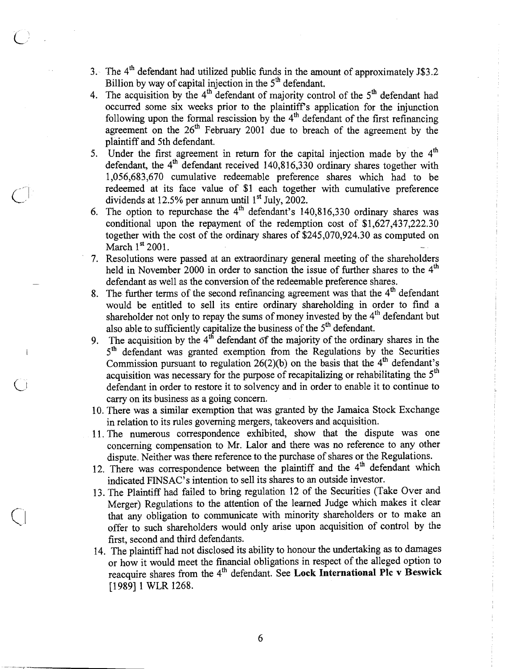- 3. The  $4<sup>th</sup>$  defendant had utilized public funds in the amount of approximately J\$3.2 Billion by way of capital injection in the  $5<sup>th</sup>$  defendant,
- 4. The acquisition by the  $4<sup>th</sup>$  defendant of majority control of the  $5<sup>th</sup>$  defendant had occurred some six weeks prior to the plaintiffs application for the injunction following upon the formal rescission by the  $4<sup>th</sup>$  defendant of the first refinancing agreement on the 26<sup>th</sup> February 2001 due to breach of the agreement by the plaintiff and 5th defendant.
- 5. Under the first agreement in return for the capital injection made by the  $4<sup>th</sup>$ defendant, the  $4<sup>th</sup>$  defendant received 140,816,330 ordinary shares together with 1,056,683,670 cumulative redeemable preference shares which had to be redeemed at its face value of \$1 each together with cumulative preference dividends at 12.5% per annum until  $1<sup>st</sup>$  July, 2002.
- 6. The option to repurchase the  $4<sup>th</sup>$  defendant's 140,816,330 ordinary shares was conditional upon the repayment of the redemption cost of \$1,627,437,222.30 together with the cost of the ordinary shares of  $$245,070,924.30$  as computed on March 1<sup>st</sup> 2001. March  $1^{st}$  2001.
- 7. Resolutions were passed at an extraordinary general meeting of the shareholders held in November 2000 in order to sanction the issue of further shares to the  $4<sup>th</sup>$ defendant as well as the conversion of the redeemable preference shares.
- 8. The further terms of the second refinancing agreement was that the 4<sup>th</sup> defendant would be entitled to sell its entire ordinary shareholding in order to find a shareholder not only to repay the sums of money invested by the  $4<sup>th</sup>$  defendant but also able to sufficiently capitalize the business of the  $5<sup>th</sup>$  defendant.
- 9. The acquisition by the  $4<sup>th</sup>$  defendant of the majority of the ordinary shares in the 5<sup>th</sup> defendant was granted exemption from the Regulations by the Securities Commission pursuant to regulation  $26(2)(b)$  on the basis that the  $4<sup>th</sup>$  defendant's acquisition was necessary for the purpose of recapitalizing or rehabilitating the  $5<sup>th</sup>$ defendant in order to restore it to solvency and in order to enable it to continue to carry on its business as a going concern.
- 10. There was a similar exemption that was granted by the Jamaica Stock Exchange in relation to its rules governing mergers, takeovers and acquisition.
- 11. The numerous correspondence exhibited, show that the dispute was one concerning compensation to Mr. Lalor and there was no reference to any other dispute. Neither was there reference to the purchase of shares or the Regulations.
- 12. There was correspondence between the plaintiff and the 4<sup>th</sup> defendant which indicated FINSAC'S intention to sell its shares to an outside investor.
- 13. The Plaintiff had failed to bring regulation 12 of the Securities (Take Over and Merger) Regulations to the attention of the learned Judge which makes it clear that any obligation to communicate with minority shareholders or to make an offer to such shareholders would only arise upon acquisition of control by the first, second and third defendants.
- 14. The plaintiff had not disclosed its ability to honour the undertaking as to damages or how it would meet the financial obligations in respect of the alleged option to reacquire shares from the 4<sup>th</sup> defendant. See **Lock International Plc v Beswick** [1989] 1 WLR 1268.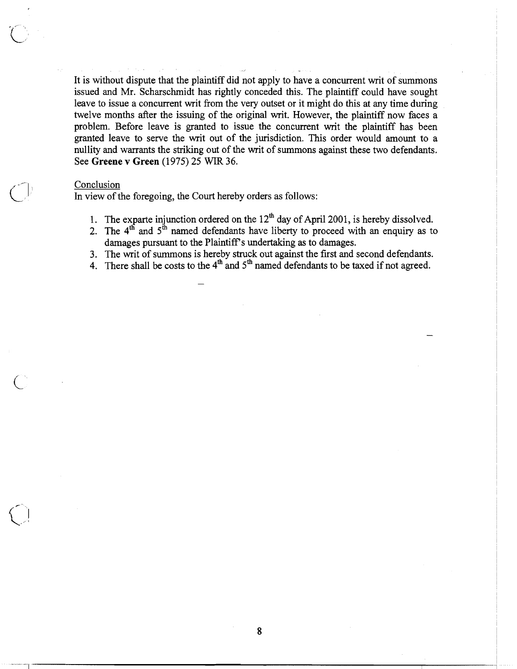It is without dispute that the plaintiff did not apply to have a concurrent writ of summons issued and Mr. Scharschmidt has rightly conceded this. The plaintiff could have sought leave to issue a concurrent writ from the very outset or it might do this at any time during twelve months after the issuing of the original writ. However, the plaintiff now faces a problem. Before leave is granted to issue the concurrent writ the plaintiff has been granted leave to serve the writ out of the jurisdiction. This order would amount to a nullity and warrants the striking out of the writ of summons against these two defendants. See **Greene** v **Green** (1975) 25 WIR 36.

## Conclusion

In view of the foregoing, the Court hereby orders as follows:

- 1. The exparte injunction ordered on the  $12<sup>th</sup>$  day of April 2001, is hereby dissolved.
- 2. The  $4<sup>th</sup>$  and  $5<sup>th</sup>$  named defendants have liberty to proceed with an enquiry as to damages pursuant to the Plaintiff's undertaking as to damages.
- 3. The writ of summons is hereby struck out against the first and second defendants.
- 4. There shall be costs to the  $4<sup>th</sup>$  and  $5<sup>th</sup>$  named defendants to be taxed if not agreed.